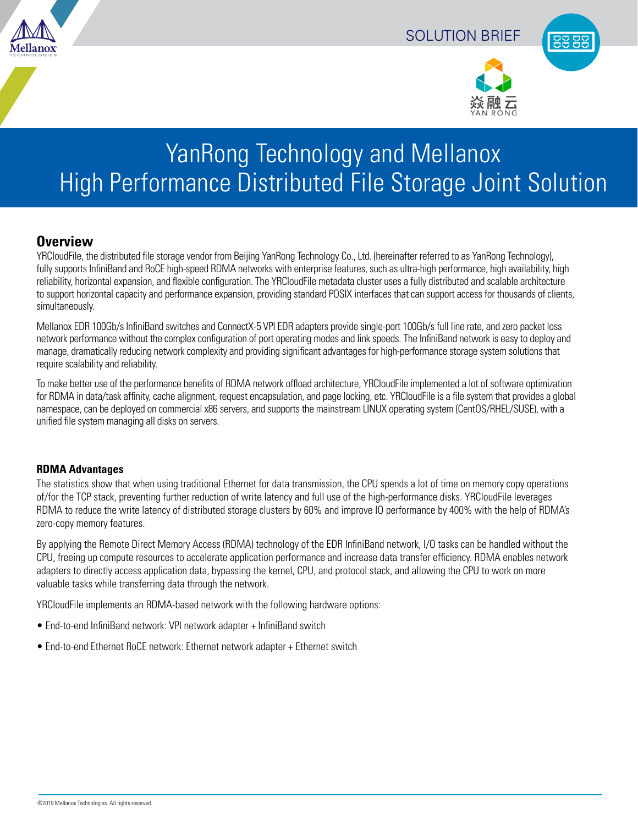





# YanRong Technology and Mellanox High Performance Distributed File Storage Joint Solution

## **Overview**

YRCloudFile, the distributed file storage vendor from Beijing YanRong Technology Co., Ltd. (hereinafter referred to as YanRong Technology), fully supports InfiniBand and RoCE high-speed RDMA networks with enterprise features, such as ultra-high performance, high availability, high reliability, horizontal expansion, and flexible configuration. The YRCloudFile metadata cluster uses a fully distributed and scalable architecture to support horizontal capacity and performance expansion, providing standard POSIX interfaces that can support access for thousands of clients, simultaneously.

Mellanox EDR 100Gb/s InfiniBand switches and ConnectX-5 VPI EDR adapters provide single-port 100Gb/s full line rate, and zero packet loss network performance without the complex configuration of port operating modes and link speeds. The InfiniBand network is easy to deploy and manage, dramatically reducing network complexity and providing significant advantages for high-performance storage system solutions that require scalability and reliability.

To make better use of the performance benefits of RDMA network offload architecture, YRCloudFile implemented a lot of software optimization for RDMA in data/task affinity, cache alignment, request encapsulation, and page locking, etc. YRCloudFile is a file system that provides a global namespace, can be deployed on commercial x86 servers, and supports the mainstream LINUX operating system (CentOS/RHEL/SUSE), with a unified file system managing all disks on servers.

#### **RDMA Advantages**

The statistics show that when using traditional Ethernet for data transmission, the CPU spends a lot of time on memory copy operations of/for the TCP stack, preventing further reduction of write latency and full use of the high-performance disks. YRCloudFile leverages RDMA to reduce the write latency of distributed storage clusters by 60% and improve IO performance by 400% with the help of RDMA's zero-copy memory features.

By applying the Remote Direct Memory Access (RDMA) technology of the EDR InfiniBand network, I/O tasks can be handled without the CPU, freeing up compute resources to accelerate application performance and increase data transfer efficiency. RDMA enables network adapters to directly access application data, bypassing the kernel, CPU, and protocol stack, and allowing the CPU to work on more valuable tasks while transferring data through the network.

YRCloudFile implements an RDMA-based network with the following hardware options:

- End-to-end InfiniBand network: VPI network adapter + InfiniBand switch
- End-to-end Ethernet RoCE network: Ethernet network adapter + Ethernet switch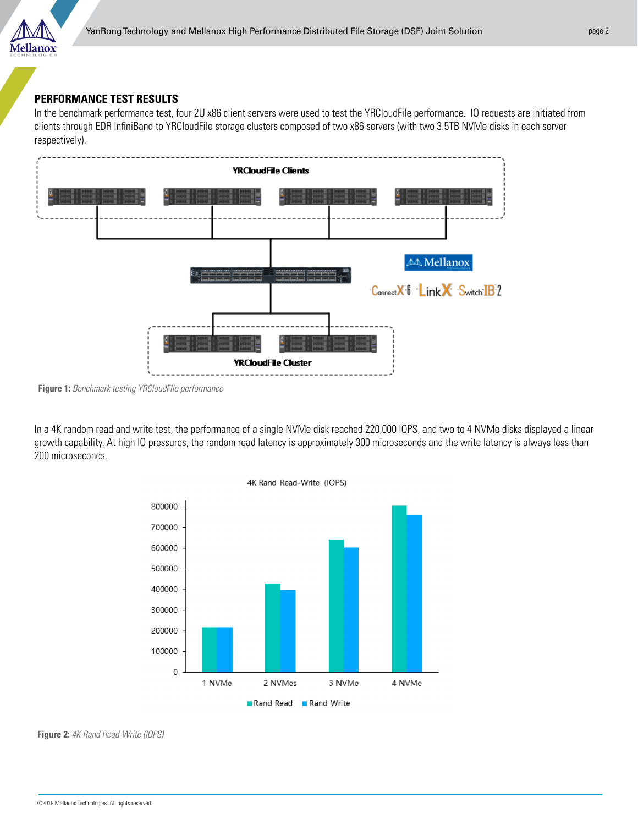

### **PERFORMANCE TEST RESULTS**

In the benchmark performance test, four 2U x86 client servers were used to test the YRCloudFile performance. IO requests are initiated from clients through EDR InfiniBand to YRCloudFile storage clusters composed of two x86 servers (with two 3.5TB NVMe disks in each server respectively).



**Figure 1:** *Benchmark testing YRCloudFIle performance*

In a 4K random read and write test, the performance of a single NVMe disk reached 220,000 IOPS, and two to 4 NVMe disks displayed a linear growth capability. At high IO pressures, the random read latency is approximately 300 microseconds and the write latency is always less than 200 microseconds.



**Figure 2:** *4K Rand Read-Write (IOPS)*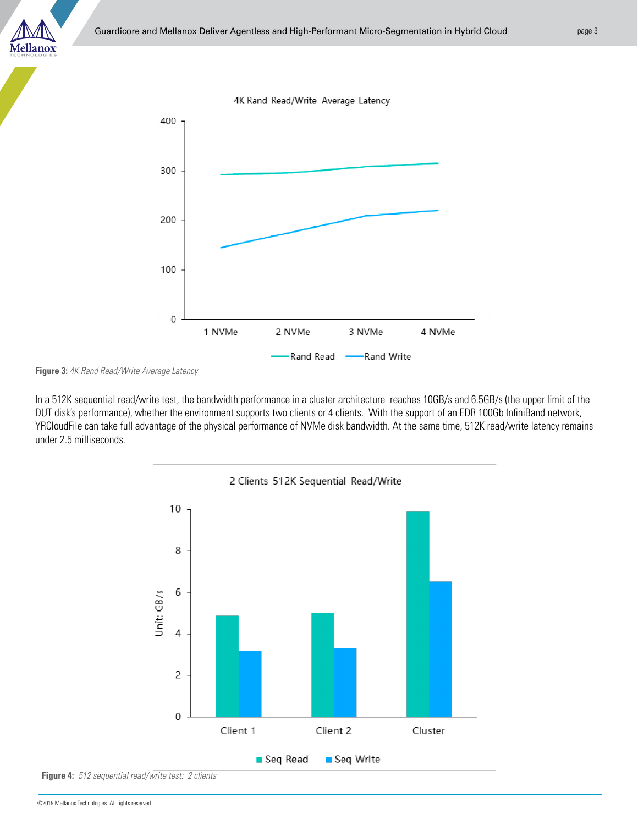



**Figure 3:** *4K Rand Read/Write Average Latency*

In a 512K sequential read/write test, the bandwidth performance in a cluster architecture reaches 10GB/s and 6.5GB/s (the upper limit of the DUT disk's performance), whether the environment supports two clients or 4 clients. With the support of an EDR 100Gb InfiniBand network, YRCloudFile can take full advantage of the physical performance of NVMe disk bandwidth. At the same time, 512K read/write latency remains under 2.5 milliseconds.



**Figure 4:** *512 sequential read/write test: 2 clients*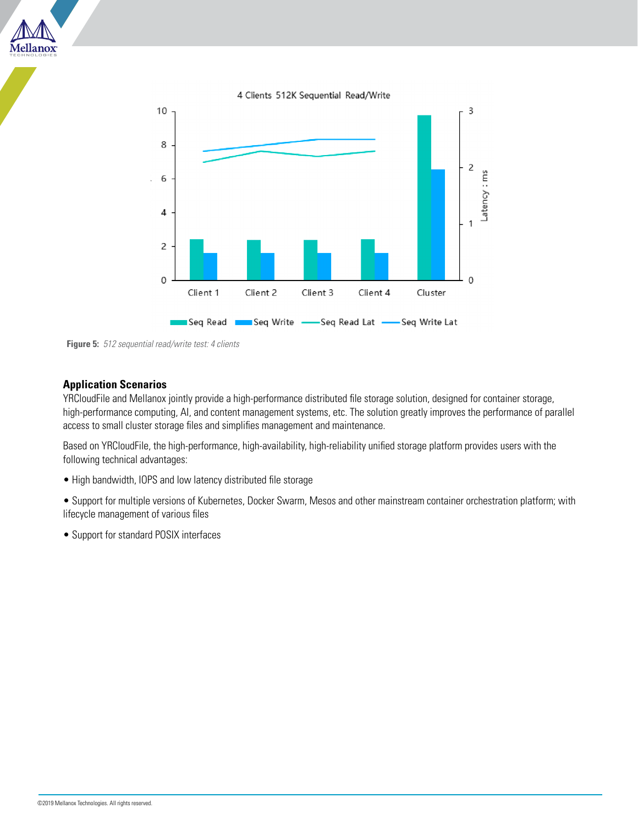





#### **Application Scenarios**

YRCloudFile and Mellanox jointly provide a high-performance distributed file storage solution, designed for container storage, high-performance computing, AI, and content management systems, etc. The solution greatly improves the performance of parallel access to small cluster storage files and simplifies management and maintenance.

Based on YRCloudFile, the high-performance, high-availability, high-reliability unified storage platform provides users with the following technical advantages:

• High bandwidth, IOPS and low latency distributed file storage

• Support for multiple versions of Kubernetes, Docker Swarm, Mesos and other mainstream container orchestration platform; with lifecycle management of various files

• Support for standard POSIX interfaces